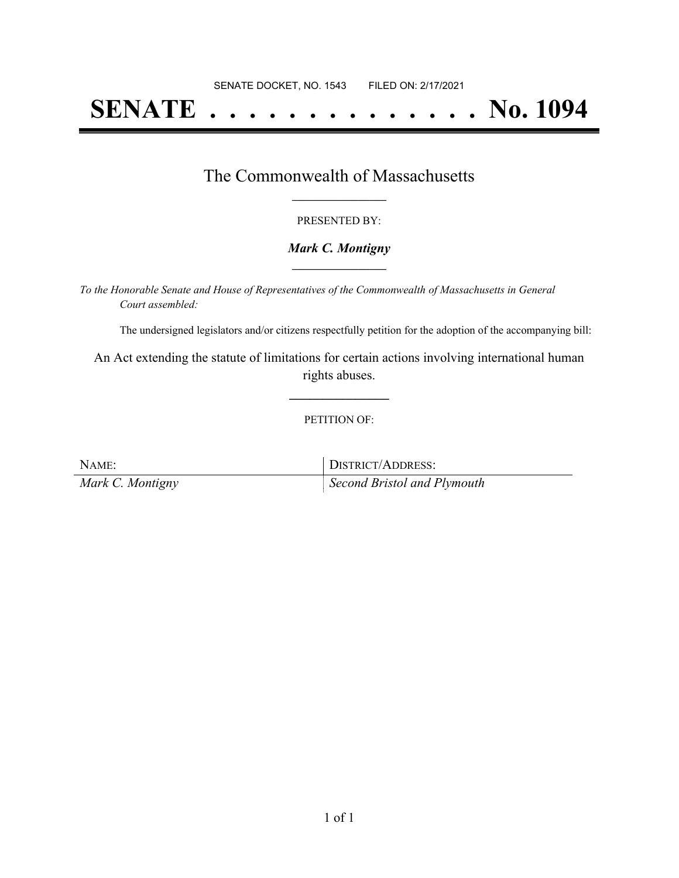# **SENATE . . . . . . . . . . . . . . No. 1094**

## The Commonwealth of Massachusetts **\_\_\_\_\_\_\_\_\_\_\_\_\_\_\_\_\_**

#### PRESENTED BY:

#### *Mark C. Montigny* **\_\_\_\_\_\_\_\_\_\_\_\_\_\_\_\_\_**

*To the Honorable Senate and House of Representatives of the Commonwealth of Massachusetts in General Court assembled:*

The undersigned legislators and/or citizens respectfully petition for the adoption of the accompanying bill:

An Act extending the statute of limitations for certain actions involving international human rights abuses.

**\_\_\_\_\_\_\_\_\_\_\_\_\_\_\_**

#### PETITION OF:

NAME: IDISTRICT/ADDRESS: *Mark C. Montigny Second Bristol and Plymouth*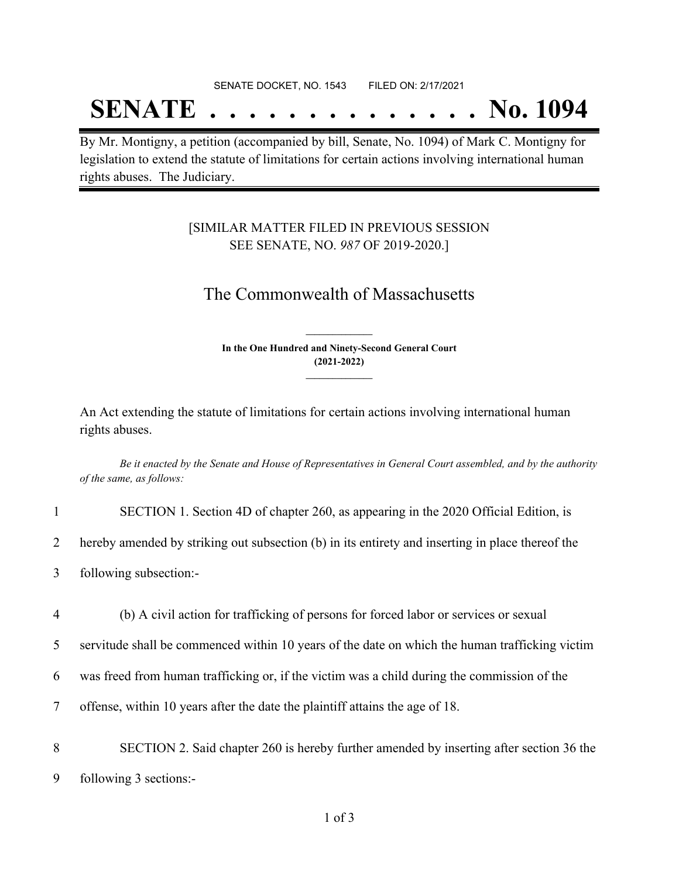#### SENATE DOCKET, NO. 1543 FILED ON: 2/17/2021

## **SENATE . . . . . . . . . . . . . . No. 1094**

By Mr. Montigny, a petition (accompanied by bill, Senate, No. 1094) of Mark C. Montigny for legislation to extend the statute of limitations for certain actions involving international human rights abuses. The Judiciary.

### [SIMILAR MATTER FILED IN PREVIOUS SESSION SEE SENATE, NO. *987* OF 2019-2020.]

## The Commonwealth of Massachusetts

**In the One Hundred and Ninety-Second General Court (2021-2022) \_\_\_\_\_\_\_\_\_\_\_\_\_\_\_**

**\_\_\_\_\_\_\_\_\_\_\_\_\_\_\_**

An Act extending the statute of limitations for certain actions involving international human rights abuses.

Be it enacted by the Senate and House of Representatives in General Court assembled, and by the authority *of the same, as follows:*

|                | SECTION 1. Section 4D of chapter 260, as appearing in the 2020 Official Edition, is              |
|----------------|--------------------------------------------------------------------------------------------------|
| $\overline{2}$ | hereby amended by striking out subsection (b) in its entirety and inserting in place thereof the |
| 3 <sup>1</sup> | following subsection:-                                                                           |
| 4              | (b) A civil action for trafficking of persons for forced labor or services or sexual             |
| 5              | servitude shall be commenced within 10 years of the date on which the human trafficking victim   |
|                |                                                                                                  |

6 was freed from human trafficking or, if the victim was a child during the commission of the

7 offense, within 10 years after the date the plaintiff attains the age of 18.

8 SECTION 2. Said chapter 260 is hereby further amended by inserting after section 36 the 9 following 3 sections:-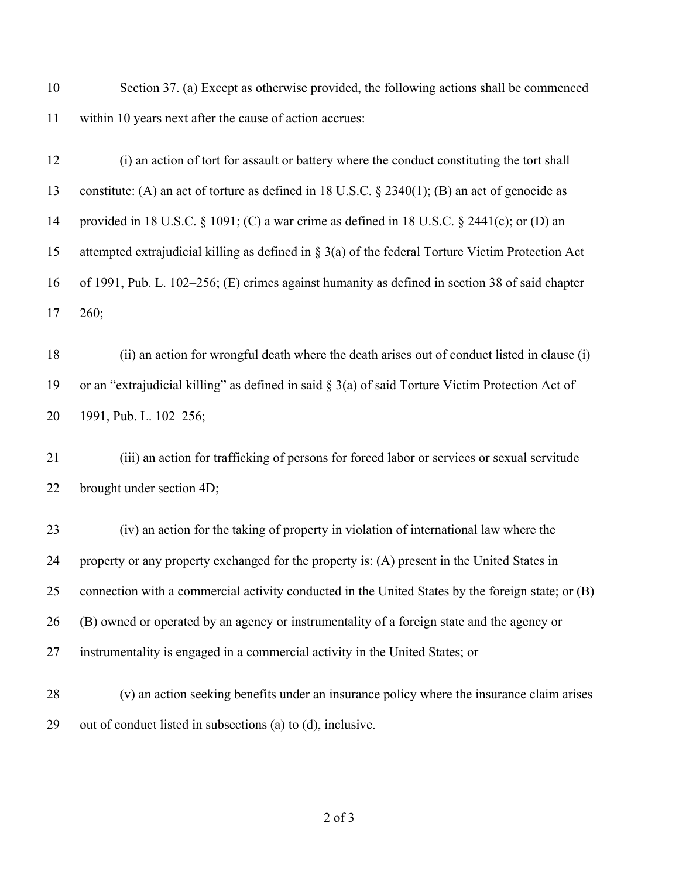Section 37. (a) Except as otherwise provided, the following actions shall be commenced within 10 years next after the cause of action accrues:

 (i) an action of tort for assault or battery where the conduct constituting the tort shall constitute: (A) an act of torture as defined in 18 U.S.C. § 2340(1); (B) an act of genocide as provided in 18 U.S.C. § 1091; (C) a war crime as defined in 18 U.S.C. § 2441(c); or (D) an attempted extrajudicial killing as defined in § 3(a) of the federal Torture Victim Protection Act of 1991, Pub. L. 102–256; (E) crimes against humanity as defined in section 38 of said chapter 260;

 (ii) an action for wrongful death where the death arises out of conduct listed in clause (i) or an "extrajudicial killing" as defined in said § 3(a) of said Torture Victim Protection Act of 1991, Pub. L. 102–256;

 (iii) an action for trafficking of persons for forced labor or services or sexual servitude brought under section 4D;

 (iv) an action for the taking of property in violation of international law where the property or any property exchanged for the property is: (A) present in the United States in connection with a commercial activity conducted in the United States by the foreign state; or (B) (B) owned or operated by an agency or instrumentality of a foreign state and the agency or instrumentality is engaged in a commercial activity in the United States; or

 (v) an action seeking benefits under an insurance policy where the insurance claim arises out of conduct listed in subsections (a) to (d), inclusive.